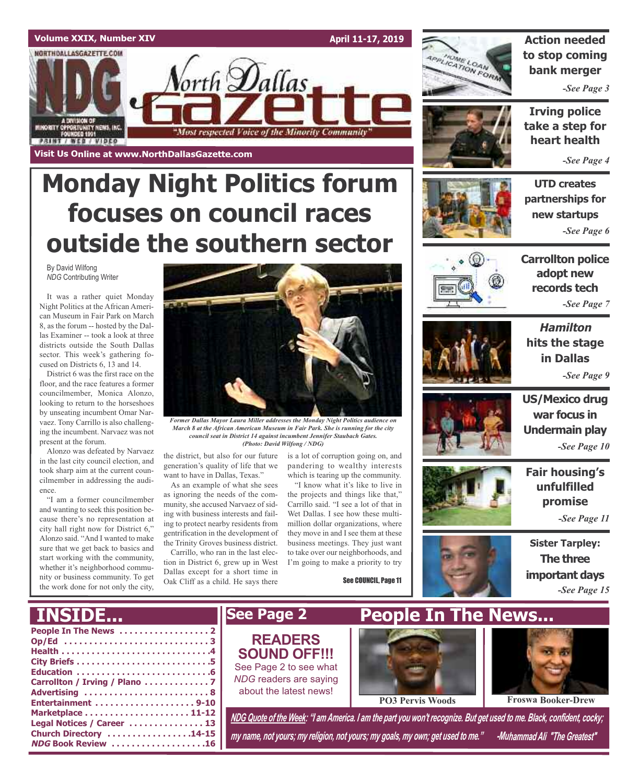### **Volume XXIX, Number XIV April 11-17, 2019** NORTHDALLASGAZETTE.COM orth **D**allas MINORITY OPPORTUNITY NEWS, INC.<br>FOUNDED 1991 "Most respected Voice of the Minority Community **PRINT / WEB / VIDEO Visit Us Online at www.NorthDallasGazette.com**

# **Monday Night Politics forum focuses on council races outside the southern sector**

By David Wilfong *NDG* Contributing Writer

It was a rather quiet Monday Night Politics at the African American Museum in Fair Park on March 8, as the forum -- hosted by the Dallas Examiner -- took a look at three districts outside the South Dallas sector. This week's gathering focused on Districts 6, 13 and 14.

District 6 was the first race on the floor, and the race features a former councilmember, Monica Alonzo, looking to return to the horseshoes by unseating incumbent Omar Narvaez. Tony Carrillo is also challenging the incumbent. Narvaez was not present at the forum.

Alonzo was defeated by Narvaez in the last city council election, and took sharp aim at the current councilmember in addressing the audience.

"I am a former councilmember and wanting to seek this position because there's no representation at city hall right now for District 6," Alonzo said. "And I wanted to make sure that we get back to basics and start working with the community, whether it's neighborhood community or business community. To get the work done for not only the city,



*Former Dallas Mayor Laura Miller addresses the Monday Night Politics audience on March 8 at the African American Museum in Fair Park. She is running for the city council seat in District 14 against incumbent Jennifer Staubach Gates. (Photo: David Wilfong / NDG)*

the district, but also for our future generation's quality of life that we want to have in Dallas, Texas."

As an example of what she sees as ignoring the needs of the community, she accused Narvaez of siding with business interests and failing to protect nearby residents from gentrification in the development of the Trinity Groves business district.

Carrillo, who ran in the last election in District 6, grew up in West Dallas except for a short time in Oak Cliff as a child. He says there

is a lot of corruption going on, and pandering to wealthy interests which is tearing up the community.

"I know what it's like to live in the projects and things like that," Carrillo said. "I see a lot of that in Wet Dallas. I see how these multimillion dollar organizations, where they move in and I see them at these business meetings. They just want to take over our neighborhoods, and I'm going to make a priority to try

See COUNCIL, Page 11



**Action needed to stop coming bank merger**

*-See Page 3*

**Irving police take a step for heart health**

*-See Page 4*

**UTD creates partnerships for new startups** *-See Page 6*



**Carrollton police adopt new records tech** *-See Page 7*

**Hamilton hits the stage in Dallas** *-See Page 9*



**war focus in Undermain play** *-See Page 10*

**US/Mexico drug**

**Fair housing's unfulfilled promise**

*-See Page 11*



**Sister Tarpley: The three important days** *-See Page 15*

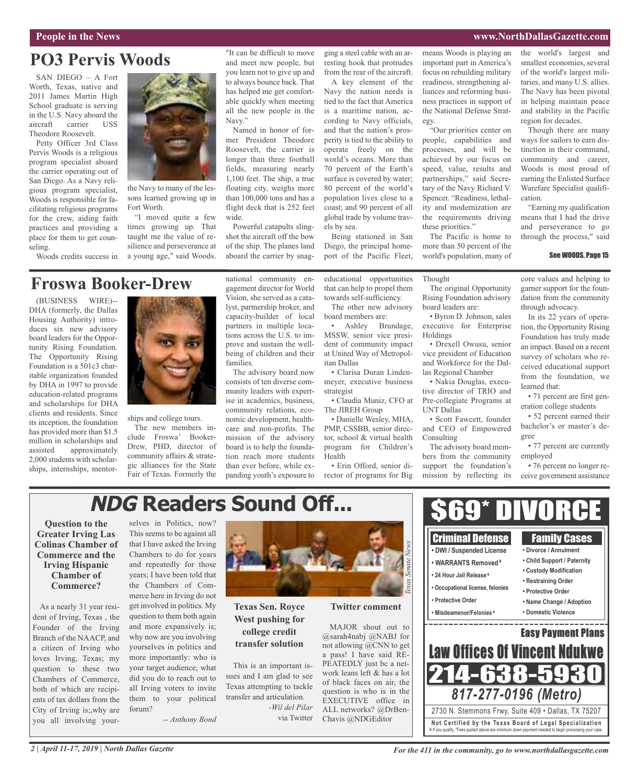#### **People in the News www.NorthDallasGazette.com**

### **PO3 Pervis Woods**

SAN DIEGO – A Fort Worth, Texas, native and 2011 James Martin High School graduate is serving in the U.S. Navy aboard the aircraft carrier USS Theodore Roosevelt.

Petty Officer 3rd Class Pervis Woods is a religious program specialist aboard the carrier operating out of San Diego. As a Navy religious program specialist, Woods is responsible for facilitating religious programs for the crew, aiding faith practices and providing a place for them to get counseling.

Woods credits success in



the Navy to many of the lessons learned growing up in Fort Worth.

"I moved quite a few times growing up. That taught me the value of resilience and perseverance at a young age," said Woods. "It can be difficult to move and meet new people, but you learn not to give up and to always bounce back. That has helped me get comfortable quickly when meeting all the new people in the Navy."

Named in honor of former President Theodore Roosevelt, the carrier is longer than three football fields, measuring nearly 1,100 feet. The ship, a true floating city, weighs more than 100,000 tons and has a flight deck that is 252 feet wide.

Powerful catapults slingshot the aircraft off the bow of the ship. The planes land aboard the carrier by snagging a steel cable with an arresting hook that protrudes from the rear of the aircraft.

A key element of the Navy the nation needs is tied to the fact that America is a maritime nation, according to Navy officials, and that the nation's prosperity is tied to the ability to operate freely on the world's oceans. More than 70 percent of the Earth's surface is covered by water; 80 percent of the world's population lives close to a coast; and 90 percent of all global trade by volume travels by sea.

Being stationed in San Diego, the principal homeport of the Pacific Fleet, means Woods is playing an important part in America's focus on rebuilding military readiness, strengthening alliances and reforming business practices in support of the National Defense Strategy.

"Our priorities center on people, capabilities and processes, and will be achieved by our focus on speed, value, results and partnerships," said Secretary of the Navy Richard V. Spencer. "Readiness, lethality and modernization are the requirements driving these priorities."

The Pacific is home to more than 50 percent of the world's population, many of

the world's largest and smallest economies, several of the world's largest militaries, and many U.S. allies. The Navy has been pivotal in helping maintain peace and stability in the Pacific region for decades.

Though there are many ways for sailors to earn distinction in their command, community and career, Woods is most proud of earning the Enlisted Surface Warefare Specialist qualification.

"Earning my qualification means that I had the drive and perseverance to go through the process," said

#### See WOODS, Page 15

### **Froswa Booker-Drew**

(BUSINESS WIRE)-- DHA (formerly, the Dallas Housing Authority) introduces six new advisory board leaders for the Opportunity Rising Foundation. The Opportunity Rising Foundation is a 501c3 charitable organization founded by DHA in 1997 to provide education-related programs and scholarships for DHA clients and residents. Since its inception, the foundation has provided more than \$1.5 million in scholarships and assisted approximately 2,000 students with scholarships, internships, mentor-



ships and college tours.

The new members include Froswa' Booker-Drew, PHD, director of community affairs & strategic alliances for the State Fair of Texas. Formerly the national community engagement director for World Vision, she served as a catalyst, partnership broker, and capacity-builder of local partners in multiple locations across the U.S. to improve and sustain the wellbeing of children and their families.

The advisory board now consists of ten diverse community leaders with expertise in academics, business, community relations, economic development, healthcare and non-profits. The mission of the advisory board is to help the foundation reach more students than ever before, while expanding youth's exposure to

educational opportunities that can help to propel them towards self-sufficiency.

The other new advisory board members are:

• Ashley Brundage, MSSW, senior vice president of community impact at United Way of Metropolitan Dallas

• Clarisa Duran Lindenmeyer, executive business strategist

• Claudia Muniz, CFO at The JIREH Group

• Danielle Wesley, MHA, PMP, CSSBB, senior director, school & virtual health program for Children's Health

• Erin Offord, senior director of programs for Big Thought The original Opportunity

Rising Foundation advisory board leaders are:

• Byron D. Johnson, sales executive for Enterprise Holdings

• Drexell Owusu, senior vice president of Education and Workforce for the Dal-

• Nakia Douglas, executive director of TRIO and Pre-collegiate Programs at UNT Dallas

and CEO of Empowered Consulting

bers from the community support the foundation's mission by reflecting its

core values and helping to garner support for the foundation from the community through advocacy.

In its 22 years of operation, the Opportunity Rising Foundation has truly made an impact. Based on a recent survey of scholars who received educational support from the foundation, we learned that:

• 71 percent are first generation college students

• 52 percent earned their bachelor's or master's degree

• 77 percent are currently employed

• 76 percent no longer receive government assistance

## **NDG Readers Sound Off...**

**Question to the Greater Irving Las Colinas Chamber of Commerce and the Irving Hispanic Chamber of Commerce?**

As a nearly 31 year resident of Irving, Texas , the Founder of the Irving Branch of the NAACP, and a citizen of Irving who loves Irving, Texas; my question to these two Chambers of Commerce, both of which are recipients of tax dollars from the City of Irving is;,why are you all involving your-

selves in Politics, now? This seems to be against all that I have asked the Irving Chambers to do for years and repeatedly for those years; I have been told that the Chambers of Commerce here in Irving do not get involved in politics. My question to them both again and more expansively is; why now are you involving yourselves in politics and more importantly: who is your target audience; what did you do to reach out to all Irving voters to invite them to your political forum?

*-- Anthony Bond*



**Texas Sen. Royce West pushing for college credit transfer solution**

This is an important issues and I am glad to see Texas attempting to tackle transfer and articulation. *-Wil del Pilar* via Twitter

**Twitter comment**

MAJOR shout out to @sarah4nabj @NABJ for not allowing @CNN to get a pass! I have said RE-PEATEDLY just bc a network leans left & has a lot of black faces on air, the question is who is in the EXECUTIVE office in ALL networks? @DrBen-Chavis @NDGEditor



*For the 411 in the community, go to www.northdallasgazette.com*

las Regional Chamber

• Scott Fawcett, founder

The advisory board mem-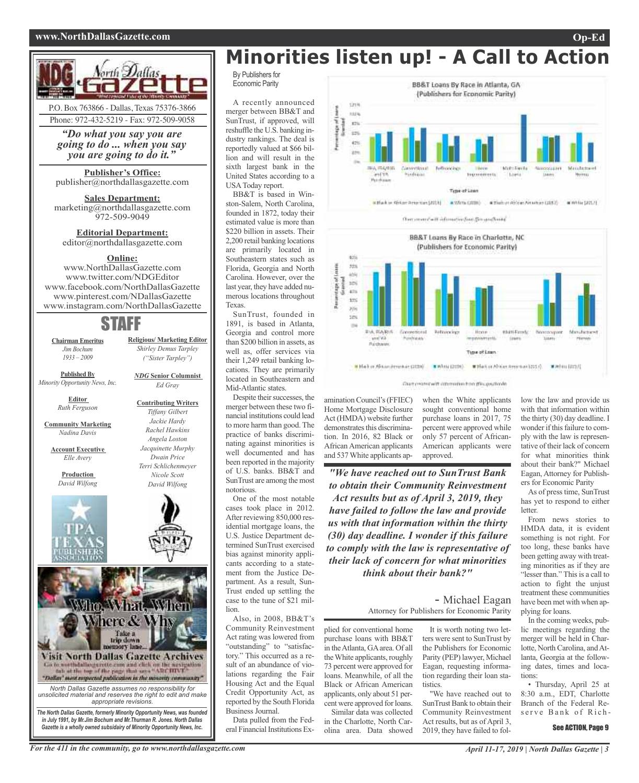#### **www.NorthDallasGazette.com Op-Ed**



*"Do what you say you are going to do ... when you say you are going to do it."*

**Publisher's Office:** publisher@northdallasgazette.com

**Sales Department:** marketing@northdallasgazette.com 972-509-9049

**Editorial Department:** editor@northdallasgazette.com

#### **Online:**

www.NorthDallasGazette.com www.twitter.com/NDGEditor www.facebook.com/NorthDallasGazette www.pinterest.com/NDallasGazette www.instagram.com/NorthDallasGazette

### STAFF

**Chairman Emeritus** *Jim Bochum 1933 – 2009*

*("Sister Tarpley") NDG* **Senior Columnist**

**Religious/ Marketing Editor** *Shirley Demus Tarpley*

*Ed Gray*

**Contributing Writers** *Tiffany Gilbert Jackie Hardy Rachel Hawkins Angela Loston Jacquinette Murphy Dwain Price Terri Schlichenmeyer Nicole Scott David Wilfong*

**Published By** *Minority Opportunity News, Inc.*

> **Editor** *Ruth Ferguson*

**Community Marketing** *Nadina Davis*

**Account Executive** *Elle Avery*

> **Production** *David Wilfong*





*North Dallas Gazette assumes no responsibility for unsolicited material and reserves the right to edit and make*

*appropriate revisions. The North Dallas Gazette, formerly Minority Opportunity News, was founded in July 1991, by Mr.Jim Bochum and Mr.Thurman R. Jones. North Dallas Gazette is a wholly owned subsidairy of Minority Opportunity News, Inc.*

# **Minorities listen up! - A Call to Action**

By Publishers for Economic Parity

A recently announced merger between BB&T and SunTrust, if approved, will reshuffle the U.S. banking industry rankings. The deal is reportedly valued at \$66 billion and will result in the sixth largest bank in the United States according to a USAToday report.

BB&T is based in Winston-Salem, North Carolina, founded in 1872, today their estimated value is more than \$220 billion in assets. Their 2,200 retail banking locations are primarily located in Southeastern states such as Florida, Georgia and North Carolina. However, over the last year, they have added numerous locations throughout Texas.

SunTrust, founded in 1891, is based in Atlanta, Georgia and control more than \$200 billion in assets, as well as, offer services via their 1,249 retail banking locations. They are primarily located in Southeastern and Mid-Atlantic states.

Despite their successes, the merger between these two financial institutions could lead to more harm than good. The practice of banks discriminating against minorities is well documented and has been reported in the majority of U.S. banks. BB&T and SunTrust are among the most notorious.

One of the most notable cases took place in 2012. After reviewing 850,000 residential mortgage loans, the U.S. Justice Department determined SunTrust exercised bias against minority applicants according to a statement from the Justice Department. As a result, Sun-Trust ended up settling the case to the tune of \$21 million.

Also, in 2008, BB&T's Community Reinvestment Act rating was lowered from "outstanding" to "satisfactory." This occurred as a result of an abundance of violations regarding the Fair Housing Act and the Equal Credit Opportunity Act, as reported by the South Florida Business Journal.

Data pulled from the Federal Financial Institutions Ex-

BB&T Loans By Race in Atlanta, GA (Publishers for Economic Parity) **S21H** std is Reported m i. 47% 用花带花叶片 Convertision **Tells/eckip** Mont Facilia airva: **Kindright** tromitirents: Limit Trps-of Laun # Black or African American (2013) # Winte (2018) # Stads or African American (2017) # White (2017)

Our marchett afterweise fore fraustrafen



Darresstream operation has proported

amination Council's(FFIEC) Home Mortgage Disclosure Act (HMDA) website further demonstrates this discrimination. In 2016, 82 Black or African American applicants and 537White applicants apwhen the White applicants sought conventional home purchase loans in 2017, 75 percent were approved while only 57 percent of African-American applicants were approved.

*"We have reached out to SunTrust Bank to obtain their Community Reinvestment Act results but as of April 3, 2019, they have failed to follow the law and provide us with that information within the thirty (30) day deadline. I wonder if this failure to comply with the law is representative of their lack of concern for what minorities think about their bank?"*

> - Michael Eagan Attorney for Publishers for Economic Parity

plied for conventional home purchase loans with BB&T in theAtlanta, GAarea. Of all theWhite applicants, roughly 73 percent were approved for loans. Meanwhile, of all the Black or African American applicants, only about 51 percent were approved for loans. Similar data was collected in the Charlotte, North Carolina area. Data showed

It is worth noting two letters were sent to SunTrust by the Publishers for Economic Parity (PEP) lawyer, Michael Eagan, requesting information regarding their loan statistics.

"We have reached out to SunTrust Bank to obtain their Community Reinvestment Act results, but as of April 3, 2019, they have failed to follow the law and provide us with that information within the thirty (30) day deadline. I wonder if this failure to comply with the law is representative of their lack of concern for what minorities think about their bank?" Michael Eagan, Attorney for Publishers for Economic Parity

As of press time, SunTrust has yet to respond to either **letter** 

From news stories to HMDA data, it is evident something is not right. For too long, these banks have been getting away with treating minorities as if they are "lesser than." This is a call to action to fight the unjust treatment these communities have been met with when applying for loans.

In the coming weeks, public meetings regarding the merger will be held in Charlotte, North Carolina, and Atlanta, Georgia at the following dates, times and locations:

• Thursday, April 25 at 8:30 a.m., EDT, Charlotte Branch of the Federal Reserve Bank of Rich-

#### See ACTION, Page 9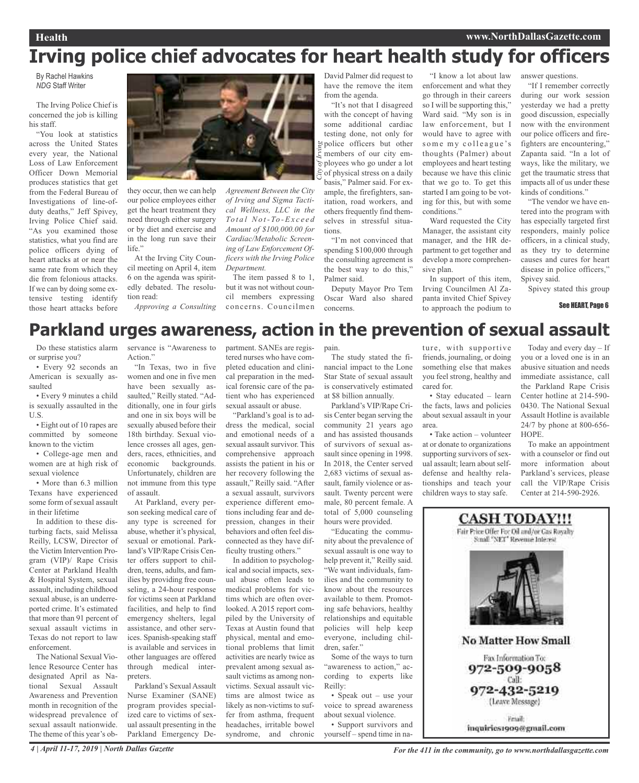# **Irving police chief advocates for heart health study for officers**

### By Rachel Hawkins *NDG* Staff Writer

The Irving Police Chief is concerned the job is killing his staff.

"You look at statistics across the United States every year, the National Loss of Law Enforcement Officer Down Memorial produces statistics that get from the Federal Bureau of Investigations of line-ofduty deaths," Jeff Spivey, Irving Police Chief said. "As you examined those statistics, what you find are police officers dying of heart attacks at or near the same rate from which they die from felonious attacks. If we can by doing some extensive testing identify those heart attacks before



they occur, then we can help our police employees either get the heart treatment they need through either surgery or by diet and exercise and in the long run save their life."

At the Irving City Council meeting on April 4, item 6 on the agenda was spiritedly debated. The resolution read:

*Approving a Consulting*

David Palmer did request to have the remove the item from the agenda.

*City of Irving* "It's not that I disagreed with the concept of having some additional cardiac testing done, not only for police officers but other members of our city em- $\overline{s}$  ployees who go under a lot of physical stress on a daily basis," Palmer said. For example, the firefighters, sanitation, road workers, and others frequently find themselves in stressful situations.

"I'm not convinced that spending \$100,000 through the consulting agreement is the best way to do this," Palmer said.

Deputy Mayor Pro Tem Oscar Ward also shared concerns.

"I know a lot about law enforcement and what they go through in their careers so I will be supporting this," Ward said. "My son is in law enforcement, but I would have to agree with some my colleague's thoughts (Palmer) about employees and heart testing because we have this clinic that we go to. To get this started I am going to be voting for this, but with some conditions."

Ward requested the City Manager, the assistant city manager, and the HR department to get together and develop a more comprehensive plan.

In support of this item, Irving Councilmen Al Zapanta invited Chief Spivey to approach the podium to answer questions.

"If I remember correctly during our work session yesterday we had a pretty good discussion, especially now with the environment our police officers and firefighters are encountering," Zapanta said. "In a lot of ways, like the military, we get the traumatic stress that impacts all of us under these kinds of conditions."

"The vendor we have entered into the program with has especially targeted first responders, mainly police officers, in a clinical study, as they try to determine causes and cures for heart disease in police officers," Spivey said.

Spivey stated this group

See HEART, Page 6

### **Parkland urges awareness, action in the prevention of sexual assault**

The item passed 8 to 1, but it was not without council members expressing concerns. Councilmen

*Department.*

*of Irving and Sigma Tactical Wellness, LLC in the To t a l No t- To -Ex c e e d Amount of \$100,000.00 for Cardiac/Metabolic Screening of Law Enforcement Officers with the Irving Police*

Do these statistics alarm or surprise you?

• Every 92 seconds an American is sexually assaulted

• Every 9 minutes a child is sexually assaulted in the U.S.

• Eight out of 10 rapes are committed by someone known to the victim

• College-age men and women are at high risk of sexual violence

• More than 6.3 million Texans have experienced some form of sexual assault in their lifetime

In addition to these disturbing facts, said Melissa Reilly, LCSW, Director of the Victim Intervention Program (VIP)/ Rape Crisis Center at Parkland Health & Hospital System, sexual assault, including childhood sexual abuse, is an underreported crime. It's estimated that more than 91 percent of sexual assault victims in Texas do not report to law enforcement.

The National Sexual Violence Resource Center has designated April as National Sexual Assault Awareness and Prevention month in recognition of the widespread prevalence of sexual assault nationwide. The theme of this year's observance is "Awareness to Action."

"In Texas, two in five women and one in five men have been sexually assaulted," Reilly stated. "Additionally, one in four girls and one in six boys will be sexually abused before their 18th birthday. Sexual violence crosses all ages, genders, races, ethnicities, and economic backgrounds. Unfortunately, children are not immune from this type of assault.

At Parkland, every person seeking medical care of any type is screened for abuse, whether it's physical, sexual or emotional. Parkland's VIP/Rape Crisis Center offers support to children, teens, adults, and families by providing free counseling, a 24-hour response for victims seen at Parkland facilities, and help to find emergency shelters, legal assistance, and other services. Spanish-speaking staff is available and services in other languages are offered through medical interpreters.

Parkland's Sexual Assault Nurse Examiner (SANE) program provides specialized care to victims of sexual assault presenting in the Parkland Emergency Department. SANEs are registered nurses who have completed education and clinical preparation in the medical forensic care of the patient who has experienced sexual assault or abuse.

"Parkland's goal is to address the medical, social and emotional needs of a sexual assault survivor. This comprehensive approach assists the patient in his or her recovery following the assault," Reilly said. "After a sexual assault, survivors experience different emotions including fear and depression, changes in their behaviors and often feel disconnected as they have difficulty trusting others."

In addition to psychological and social impacts, sexual abuse often leads to medical problems for victims which are often overlooked. A 2015 report compiled by the University of Texas at Austin found that physical, mental and emotional problems that limit activities are nearly twice as prevalent among sexual assault victims as among nonvictims. Sexual assault victims are almost twice as likely as non-victims to suffer from asthma, frequent headaches, irritable bowel syndrome, and chronic

pain. The study stated the financial impact to the Lone Star State of sexual assault is conservatively estimated at \$8 billion annually.

Parkland's VIP/Rape Crisis Center began serving the community 21 years ago and has assisted thousands of survivors of sexual assault since opening in 1998. In 2018, the Center served 2,683 victims of sexual assault, family violence or assault. Twenty percent were male, 80 percent female. A total of 5,000 counseling hours were provided.

"Educating the community about the prevalence of sexual assault is one way to help prevent it," Reilly said. "We want individuals, families and the community to know about the resources available to them. Promoting safe behaviors, healthy relationships and equitable policies will help keep everyone, including children, safer."

Some of the ways to turn "awareness to action," according to experts like Reilly:

• Speak out – use your voice to spread awareness about sexual violence.

• Support survivors and yourself – spend time in nature, with supportive friends, journaling, or doing something else that makes you feel strong, healthy and cared for.

• Stay educated – learn the facts, laws and policies about sexual assault in your area.

• Take action – volunteer at or donate to organizations supporting survivors of sexual assault; learn about selfdefense and healthy relationships and teach your children ways to stay safe.

Today and every day – If you or a loved one is in an abusive situation and needs immediate assistance, call the Parkland Rape Crisis Center hotline at 214-590- 0430. The National Sexual Assault Hotline is available 24/7 by phone at 800-656- HOPE.

To make an appointment with a counselor or find out more information about Parkland's services, please call the VIP/Rape Crisis Center at 214-590-2926.

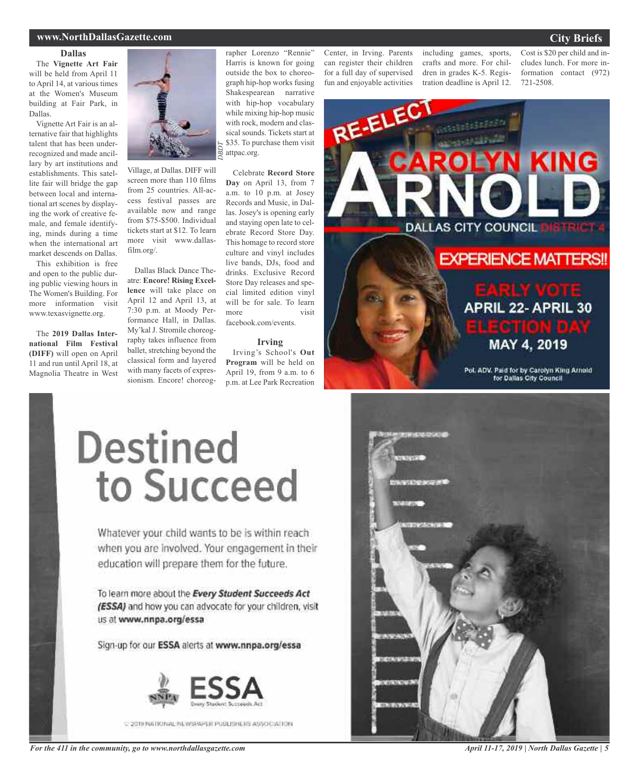### **www.NorthDallasGazette.com**

#### **Dallas**

The **Vignette Art Fair** will be held from April 11 to April 14, at various times at the Women's Museum building at Fair Park, in Dallas.

Vignette Art Fair is an alternative fair that highlights talent that has been underrecognized and made ancillary by art institutions and establishments. This satellite fair will bridge the gap between local and international art scenes by displaying the work of creative female, and female identifying, minds during a time when the international art market descends on Dallas.

This exhibition is free and open to the public during public viewing hours in The Women's Building. For more information visit www.texasvignette.org.

The **2019 Dallas International Film Festival (DIFF)** will open on April 11 and run until April 18, at Magnolia Theatre in West



Village, at Dallas. DIFF will screen more than 110 films from 25 countries. All-access festival passes are available now and range from \$75-\$500. Individual tickets start at \$12. To learn more visit www.dallasfilm.org/.

*DBD T*

Dallas Black Dance Theatre: **Encore! Rising Excellence** will take place on April 12 and April 13, at 7:30 p.m. at Moody Performance Hall, in Dallas. My'kal J. Stromile choreography takes influence from ballet, stretching beyond the classical form and layered with many facets of expressionism. Encore! choreographer Lorenzo "Rennie" Harris is known for going outside the box to choreograph hip-hop works fusing Shakespearean narrative with hip-hop vocabulary while mixing hip-hop music with rock, modern and classical sounds. Tickets start at \$35. To purchase them visit attpac.org.

Celebrate **Record Store Day** on April 13, from 7 a.m. to 10 p.m. at Josey Records and Music, in Dallas. Josey's is opening early and staying open late to celebrate Record Store Day. This homage to record store culture and vinyl includes live bands, DJs, food and drinks. Exclusive Record Store Day releases and special limited edition vinyl will be for sale. To learn more visit facebook.com/events.

#### **Irving**

Irving's School's **Out Program** will be held on April 19, from 9 a.m. to 6 p.m. at Lee Park Recreation Center, in Irving. Parents can register their children for a full day of supervised fun and enjoyable activities

including games, sports, crafts and more. For children in grades K-5. Registration deadline is April 12.

Cost is \$20 per child and includes lunch. For more information contact (972) 721-2508.



# Destined to Succeed

Whatever your child wants to be is within reach when you are involved. Your engagement in their education will prepare them for the future.

To learn more about the Every Student Succeeds Act (ESSA) and how you can advocate for your children, visit us at www.nnpa.org/essa

Sign-up for our ESSA alerts at www.nnpa.org/essa



C 2019 NATIONAL MUVERAPLE PUBLISHERS ASSOCIATION





*April 11-17, 2019 | North Dallas Gazette | 5*

### **City Briefs**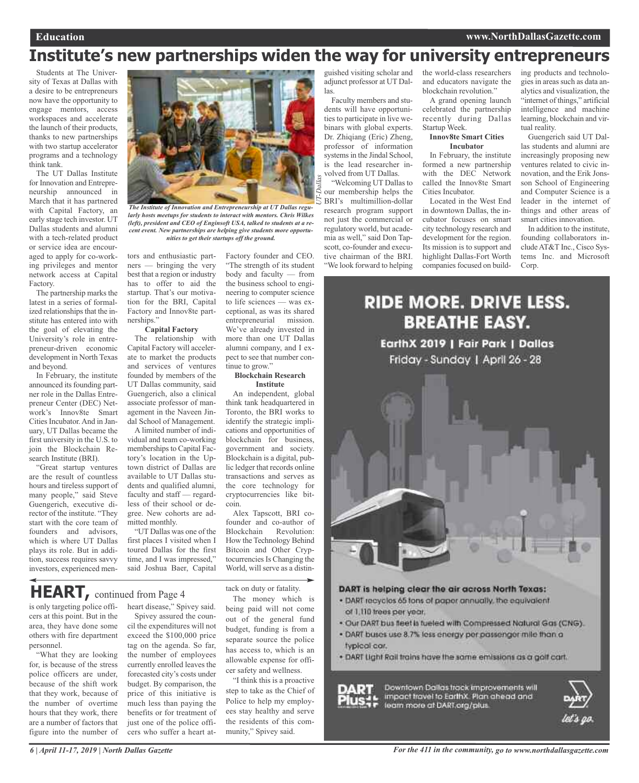## **Institute's new partnerships widen the way for university entrepreneurs**

Students at The University of Texas at Dallas with a desire to be entrepreneurs now have the opportunity to engage mentors, access workspaces and accelerate the launch of their products, thanks to new partnerships with two startup accelerator programs and a technology think tank.

The UT Dallas Institute for Innovation and Entrepreneurship announced in March that it has partnered with Capital Factory, an early stage tech investor. UT Dallas students and alumni with a tech-related product or service idea are encouraged to apply for co-working privileges and mentor network access at Capital Factory.

The partnership marks the latest in a series of formalized relationships that the institute has entered into with the goal of elevating the University's role in entrepreneur-driven economic development in North Texas and beyond.

In February, the institute announced its founding partner role in the Dallas Entrepreneur Center (DEC) Network's Innov8te Smart Cities Incubator. And in January, UT Dallas became the first university in the U.S. to join the Blockchain Research Institute (BRI).

"Great startup ventures are the result of countless hours and tireless support of many people," said Steve Guengerich, executive director of the institute. "They start with the core team of founders and advisors, which is where UT Dallas plays its role. But in addition, success requires savvy investors, experienced men-



*The Institute of Innovation and Entrepreneurship at UT Dallas regularly hosts meetups for students to interact with mentors. Chris Wilkes (left), president and CEO of Enginsoft USA, talked to students at a recent event. New partnerships are helping give students more opportunities to get their startups off the ground.*

tors and enthusiastic partners — bringing the very best that a region or industry has to offer to aid the startup. That's our motivation for the BRI, Capital Factory and Innov8te partnerships."

### **Capital Factory**

The relationship with Capital Factory will accelerate to market the products and services of ventures founded by members of the UT Dallas community, said Guengerich, also a clinical associate professor of management in the Naveen Jindal School of Management.

A limited number of individual and team co-working memberships to Capital Factory's location in the Uptown district of Dallas are available to UT Dallas students and qualified alumni, faculty and staff — regardless of their school or degree. New cohorts are admitted monthly.

"UT Dallas was one of the first places I visited when I toured Dallas for the first time, and I was impressed," said Joshua Baer, Capital

Factory founder and CEO. "The strength of its student body and faculty — from the business school to engineering to computer science to life sciences — was exceptional, as was its shared entrepreneurial mission. We've already invested in more than one UT Dallas alumni company, and I expect to see that number continue to grow."

#### **Blockchain Research Institute**

An independent, global think tank headquartered in Toronto, the BRI works to identify the strategic implications and opportunities of blockchain for business, government and society. Blockchain is a digital, public ledger that records online transactions and serves as the core technology for cryptocurrencies like bitcoin.

Alex Tapscott, BRI cofounder and co-author of Blockchain Revolution: How the Technology Behind Bitcoin and Other Cryptocurrencies Is Changing the World, will serve as a distin-

**HEART,** continued from Page <sup>4</sup>

is only targeting police officers at this point. But in the area, they have done some others with fire department personnel.

"What they are looking for, is because of the stress police officers are under, because of the shift work that they work, because of the number of overtime hours that they work, there are a number of factors that figure into the number of

heart disease," Spivey said. Spivey assured the council the expenditures will not exceed the \$100,000 price tag on the agenda. So far, the number of employees currently enrolled leaves the forecasted city's costs under budget. By comparison, the price of this initiative is much less than paying the benefits or for treatment of just one of the police officers who suffer a heart attack on duty or fatality.

The money which is being paid will not come out of the general fund budget, funding is from a separate source the police has access to, which is an allowable expense for officer safety and wellness.

"I think this is a proactive step to take as the Chief of Police to help my employees stay healthy and serve the residents of this community," Spivey said.

guished visiting scholar and adjunct professor at UT Dallas.

Faculty members and students will have opportunities to participate in live webinars with global experts. Dr. Zhiqiang (Eric) Zheng, professor of information systems in the Jindal School, is the lead researcher involved from UT Dallas. "Welcoming UT Dallas to

our membership helps the BRI's multimillion-dollar research program support not just the commercial or regulatory world, but academia as well," said Don Tapscott, co-founder and executive chairman of the BRI. "We look forward to helping

the world-class researchers and educators navigate the blockchain revolution."

A grand opening launch celebrated the partnership recently during Dallas Startup Week.

#### **Innov8te Smart Cities Incubator**

In February, the institute formed a new partnership with the DEC Network called the Innov8te Smart Cities Incubator.

Located in the West End in downtown Dallas, the incubator focuses on smart city technology research and development for the region. Its mission is to support and highlight Dallas-Fort Worth companies focused on building products and technologies in areas such as data analytics and visualization, the "internet of things," artificial intelligence and machine learning, blockchain and virtual reality.

Guengerich said UT Dallas students and alumni are increasingly proposing new ventures related to civic innovation, and the Erik Jonsson School of Engineering and Computer Science is a leader in the internet of things and other areas of smart cities innovation.

In addition to the institute, founding collaborators includeAT&T Inc., Cisco Systems Inc. and Microsoft Corp.

### **RIDE MORE. DRIVE LESS. BREATHE EASY.**

EarthX 2019 | Fair Park | Dallas Friday - Sunday | April 26 - 28



### DART is helping clear the air across North Texas:

- . DART recycles 65 tons of paper annually, the equivalent of 1,110 trees per year.
- . Our DART bus fleet is tueled with Compressed Natural Gas (CNG).
- . DART buses use 8.7% less energy per passenger mile than a typical car.
- . DART Light Rail trains have the same emissions as a golf cart.

Downtown Dallas track improvements will impact travel to EarthX. Plan ahead and learn more at DARI org/plus

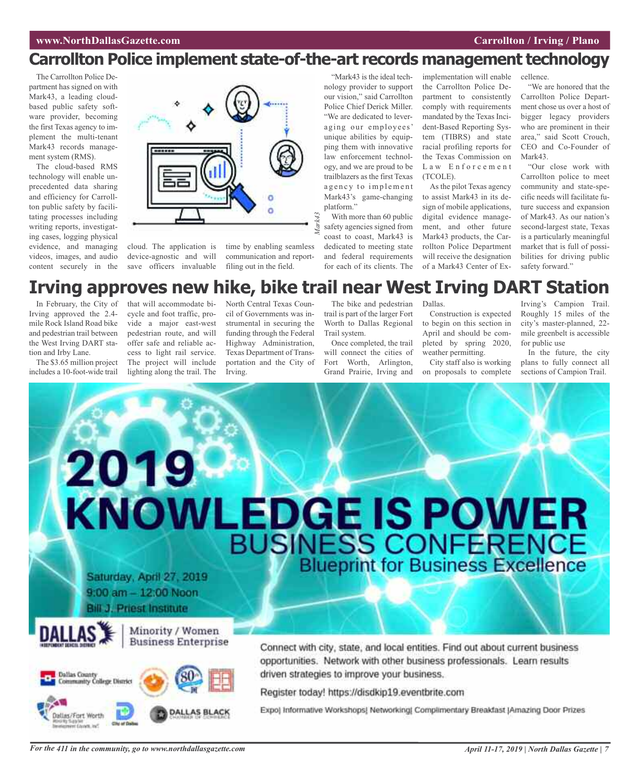### **Carrollton Police implement state-of-the-art records management technology**

The Carrollton Police Department has signed on with Mark43, a leading cloudbased public safety software provider, becoming the first Texas agency to implement the multi-tenant Mark43 records management system (RMS).

The cloud-based RMS technology will enable unprecedented data sharing and efficiency for Carrollton public safety by facilitating processes including writing reports, investigating cases, logging physical evidence, and managing videos, images, and audio content securely in the



cloud. The application is device-agnostic and will save officers invaluable

time by enabling seamless communication and reportfiling out in the field.

"Mark43 is the ideal technology provider to support our vision," said Carrollton Police Chief Derick Miller. "We are dedicated to leveraging our employees' unique abilities by equipping them with innovative law enforcement technology, and we are proud to be trailblazers as the first Texas agency to implement Mark43's game-changing platform."

*Mark43* With more than 60 public safety agencies signed from coast to coast, Mark43 is dedicated to meeting state and federal requirements for each of its clients. The implementation will enable the Carrollton Police Department to consistently comply with requirements mandated by the Texas Incident-Based Reporting System (TIBRS) and state racial profiling reports for the Texas Commission on Law Enforcement (TCOLE).

As the pilot Texas agency to assist Mark43 in its design of mobile applications, digital evidence management, and other future Mark43 products, the Carrollton Police Department will receive the designation of a Mark43 Center of Ex-

cellence.

"We are honored that the Carrollton Police Department chose us over a host of bigger legacy providers who are prominent in their area," said Scott Crouch, CEO and Co-Founder of Mark43.

"Our close work with Carrollton police to meet community and state-specific needs will facilitate future success and expansion of Mark43. As our nation's second-largest state, Texas is a particularly meaningful market that is full of possibilities for driving public safety forward."

### **Irving approves new hike, bike trail near West Irving DART Station**

In February, the City of Irving approved the 2.4 mile Rock Island Road bike and pedestrian trail between the West Irving DART station and Irby Lane.

The \$3.65 million project includes a 10-foot-wide trail

that will accommodate bicycle and foot traffic, provide a major east-west pedestrian route, and will offer safe and reliable access to light rail service. The project will include lighting along the trail. The

North Central Texas Council of Governments was instrumental in securing the funding through the Federal Highway Administration, Texas Department of Transportation and the City of Irving.

The bike and pedestrian trail is part of the larger Fort Worth to Dallas Regional Trail system.

Once completed, the trail will connect the cities of Fort Worth, Arlington, Grand Prairie, Irving and Dallas.

Construction is expected to begin on this section in April and should be completed by spring 2020, weather permitting.

City staff also is working on proposals to complete

Irving's Campion Trail. Roughly 15 miles of the city's master-planned, 22 mile greenbelt is accessible for public use

In the future, the city plans to fully connect all sections of Campion Trail.

# 2019 KNOWLEDGE IS POWER Saturday, April 27, 2019 9:00 am - 12:00 Noon **Bill J. Priest Institute** Minority / Women **Business Enterprise** Connect with city, state, and local entities. Find out about current business opportunities. Network with other business professionals. Learn results driven strategies to improve your business. **Dallas County** nity College District Register today! https://disdkip19.eventbrite.com

Expo) Informative Workshops! Networking! Complimentary Breakfast [Amazing Door Prizes

dias/Fort Worth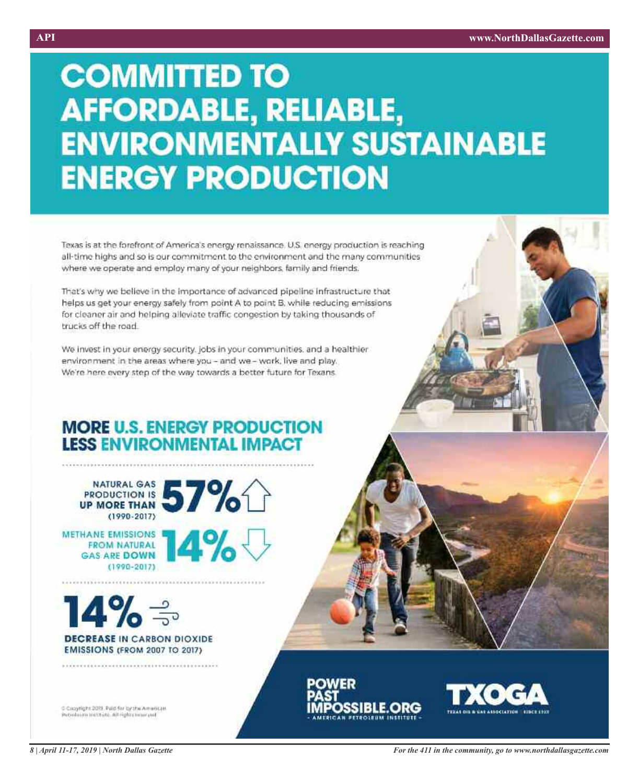# **COMMITTED TO AFFORDABLE, RELIABLE, ENVIRONMENTALLY SUSTAINABLE ENERGY PRODUCTION**

Texas is at the forefront of America's energy renaissance. U.S. energy production is reaching all-time highs and so is our commitment to the environment and the many communities where we operate and employ many of your neighbors, family and friends.

That's why we believe in the importance of advanced pipeline infrastructure that helps us get your energy safely from point A to point B, while reducing emissions for cleaner air and helping alleviate traffic congestion by taking thousands of trucks off the road.

We invest in your energy security, jobs in your communities, and a healthier environment in the areas where you - and we - work, live and play. We're here every step of the way towards a better future for Texans.

### **MORE U.S. ENERGY PRODUCTION LESS ENVIRONMENTAL IMPACT**

 $(1990 - 2017)$ 



 $(1990 - 2017)$ 

METHANE EMISSIONS **14 %** 

 $14\%$   $\Rightarrow$ 

**DECREASE IN CARBON DIOXIDE EMISSIONS (FROM 2007 TO 2017)** 

C Copyright 2019, Paid for by the American Petroleum inititute...Ait rights inserved





*For the 411 in the community, go to www.northdallasgazette.com*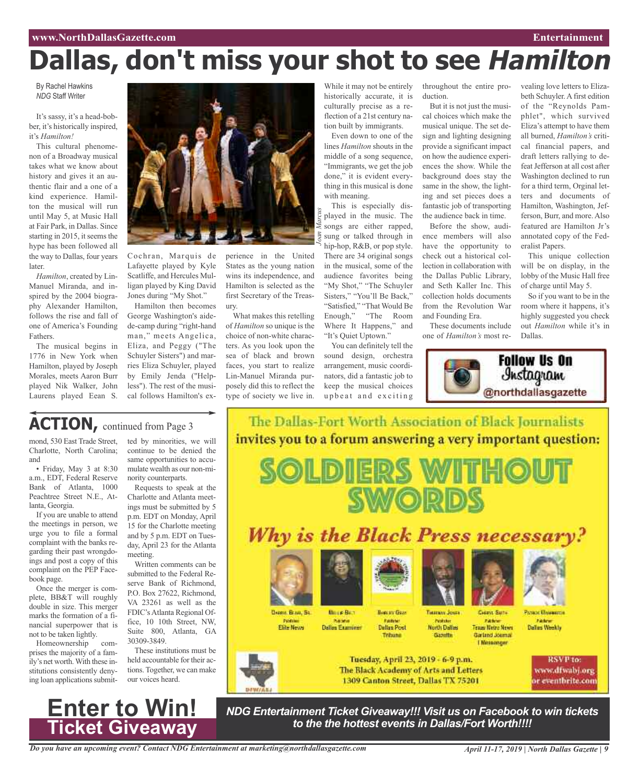# **Dallas, don't miss your shot to see Hamilton**

By Rachel Hawkins *NDG* Staff Writer

It's sassy, it's a head-bobber, it's historically inspired, it's *Hamilton!*

This cultural phenomenon of a Broadway musical takes what we know about history and gives it an authentic flair and a one of a kind experience. Hamilton the musical will run until May 5, at Music Hall at Fair Park, in Dallas. Since starting in 2015, it seems the hype has been followed all the way to Dallas, four years later.

*Hamilton*, created by Lin-Manuel Miranda, and inspired by the 2004 biography Alexander Hamilton, follows the rise and fall of one of America's Founding Fathers.

The musical begins in 1776 in New York when Hamilton, played by Joseph Morales, meets Aaron Burr played Nik Walker, John Laurens played Eean S.



Cochran, Marquis de Lafayette played by Kyle Scatliffe, and Hercules Mulligan played by King David Jones during "My Shot."

Hamilton then becomes George Washington's aidede-camp during "right-hand man," meets Angelica, Eliza, and Peggy ("The Schuyler Sisters") and marries Eliza Schuyler, played by Emily Jenda ("Helpless"). The rest of the musical follows Hamilton's ex-

perience in the United States as the young nation wins its independence, and Hamilton is selected as the first Secretary of the Treasury.

What makes this retelling of *Hamilton* so unique is the choice of non-white characters. As you look upon the sea of black and brown faces, you start to realize Lin-Manuel Miranda purposely did this to reflect the type of society we live in.

While it may not be entirely historically accurate, it is culturally precise as a reflection of a 21st century nation built by immigrants.

Even down to one of the lines *Hamilton* shouts in the middle of a song sequence, "Immigrants, we get the job done," it is evident everything in this musical is done with meaning.

*Joan Marcus* This is especially displayed in the music. The songs are either rapped, sung or talked through in hip-hop, R&B, or pop style. There are 34 original songs in the musical, some of the audience favorites being "My Shot," "The Schuyler Sisters," "You'll Be Back," "Satisfied," "That Would Be Enough," "The Room Where It Happens," and "It's Quiet Uptown."

You can definitely tell the sound design, orchestra arrangement, music coordinators, did a fantastic job to keep the musical choices upbeat and exciting

throughout the entire production.

vealing love letters to Elizabeth Schuyler. A first edition of the "Reynolds Pamphlet", which survived Eliza's attempt to have them all burned, *Hamilton's* critical financial papers, and draft letters rallying to defeat Jefferson at all cost after Washington declined to run for a third term, Orginal letters and documents of Hamilton, Washington, Jefferson, Burr, and more. Also featured are Hamilton Jr's annotated copy of the Fed-

eralist Papers.

This unique collection will be on display, in the lobby of the Music Hall free of charge until May 5. So if you want to be in the room where it happens, it's highly suggested you check out *Hamilton* while it's in

But it is not just the musical choices which make the musical unique. The set design and lighting designing provide a significant impact on how the audience experiences the show. While the background does stay the same in the show, the lighting and set pieces does a fantastic job of transporting the audience back in time.

Before the show, audience members will also have the opportunity to check out a historical collection in collaboration with the Dallas Public Library, and Seth Kaller Inc. This collection holds documents from the Revolution War and Founding Era.

These documents include one of *Hamilton's* most re-



Dallas.

ACTION, continued from Page 3

mond, 530 East Trade Street, Charlotte, North Carolina; and

• Friday, May 3 at 8:30 a.m., EDT, Federal Reserve Bank of Atlanta, 1000 Peachtree Street N.E., Atlanta, Georgia.

If you are unable to attend the meetings in person, we urge you to file a formal complaint with the banks regarding their past wrongdoings and post a copy of this complaint on the PEP Facebook page.

Once the merger is complete, BB&T will roughly double in size. This merger marks the formation of a financial superpower that is not to be taken lightly.

Homeownership comprises the majority of a family's net worth.With these institutions consistently denying loan applications submit-



Requests to speak at the Charlotte and Atlanta meetings must be submitted by 5 p.m. EDT on Monday, April 15 for the Charlotte meeting and by 5 p.m. EDT on Tuesday, April 23 for the Atlanta meeting.

Written comments can be submitted to the Federal Reserve Bank of Richmond, P.O. Box 27622, Richmond, VA 23261 as well as the FDIC'sAtlanta Regional Office, 10 10th Street, NW, Suite 800, Atlanta, GA 30309-3849.

These institutions must be held accountable for their actions. Together, we can make our voices heard.



Dassyr, Braun, Sa. Puston<br>Elite News



**DILIDII ERIS** 

**Bestan Goas Fastine**<br>Dallas Post **Dalles Examiner** Tribuna



CHERVE SMITH **Texas Netro News** Gartind Joumal **L'Messenger** 

Dallas Weekly

**Protect Wasserms** 

Tuesday, April 23, 2019 - 6-9 p.m. The Black Academy of Arts and Letters 1309 Canton Street, Dallas TX 75201

The Dallas-Fort Worth Association of Black Journalists

invites you to a forum answering a very important question:

**SWORDS** 

Why is the Black Press necessary?



*NDG Entertainment Ticket Giveaway!!! Visit us on Facebook to win tickets to the the hottest events in Dallas/Fort Worth!!!!*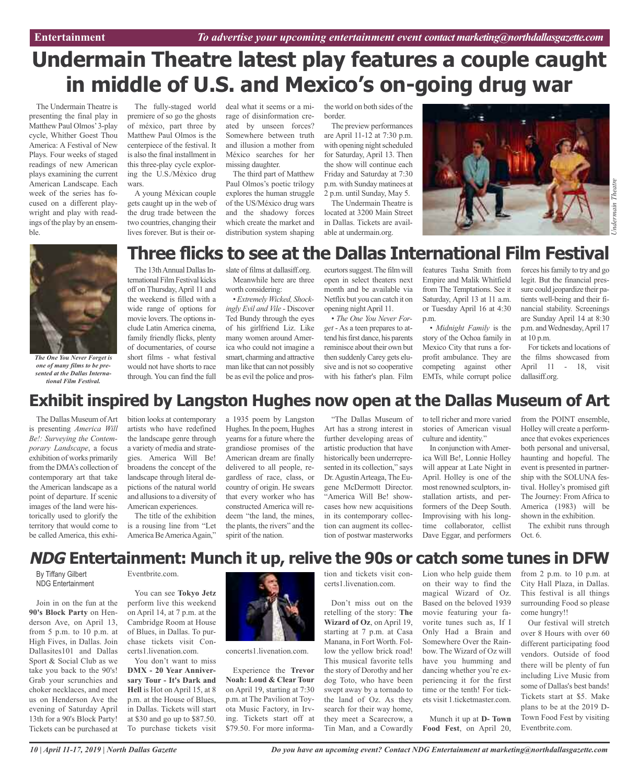# **Undermain Theatre latest play features a couple caught in middle of U.S. and Mexico's on-going drug war**

The Undermain Theatre is presenting the final play in Matthew Paul Olmos'3-play cycle, Whither Goest Thou America: A Festival of New Plays. Four weeks of staged readings of new American plays examining the current American Landscape. Each week of the series has focused on a different playwright and play with readings of the play by an ensemble.

The fully-staged world premiere of so go the ghosts of méxico, part three by Matthew Paul Olmos is the centerpiece of the festival. It is also the final installment in this three-play cycle exploring the U.S./México drug wars.

A young Méxican couple gets caught up in the web of the drug trade between the two countries, changing their lives forever. But is their ordeal what it seems or a mirage of disinformation created by unseen forces? Somewhere between truth and illusion a mother from México searches for her missing daughter.

The third part of Matthew Paul Olmos's poetic trilogy explores the human struggle of the US/México drug wars and the shadowy forces which create the market and distribution system shaping the world on both sides of the border.

The preview performances are April 11-12 at 7:30 p.m. with opening night scheduled for Saturday, April 13. Then the show will continue each Friday and Saturday at 7:30 p.m. with Sunday matinees at 2 p.m. until Sunday, May 5.

The Undermain Theatre is located at 3200 Main Street in Dallas. Tickets are available at undermain.org.



*The One You Never Forget is one of many films to be presented at the Dallas International Film Festival.*

### **Three flicks to see at the Dallas International Film Festival**

The 13th Annual Dallas International Film Festival kicks off on Thursday,April 11 and the weekend is filled with a wide range of options for movie lovers. The options include Latin America cinema, family friendly flicks, plenty of documentaries, of course short films - what festival would not have shorts to race through. You can find the full

slate of films at dallasiff.org. Meanwhile here are three worth considering:

•*Extremely Wicked, Shockingly Evil and Vile* - Discover Ted Bundy through the eyes of his girlfriend Liz. Like many women around America who could not imagine a smart, charming and attractive man like that can not possibly be as evil the police and prosecurtors suggest. The film will open in select theaters next month and be available via Netflix but you can catch it on opening nightApril 11.

• *The One You Never Forget* - As a teen prepares to attend his first dance, his parents reminisce about their own but then suddenly Carey gets elusive and is not so cooperative with his father's plan. Film

features Tasha Smith from Empire and Malik Whitfield from The Temptations. See it Saturday, April 13 at 11 a.m. or Tuesday April 16 at 4:30 p.m.

• *Midnight Family* is the story of the Ochoa family in Mexico City that runs a forprofit ambulance. They are competing against other EMTs, while corrupt police

forces his family to try and go legit. But the financial pressure could jeopardize their patients well-being and their financial stability. Screenings are Sunday April 14 at 8:30 p.m. and Wednesday, April 17 at 10 p.m.

For tickets and locations of the films showcased from April 11 - 18, visit dallasiff.org.

### **Exhibit inspired by Langston Hughes now open at the Dallas Museum of Art**

The Dallas Museum of Art is presenting *America Will Be!: Surveying the Contemporary Landscape*, a focus exhibition of works primarily from the DMA's collection of contemporary art that take the American landscape as a point of departure. If scenic images of the land were historically used to glorify the territory that would come to be called America, this exhi-

bition looks at contemporary artists who have redefined the landscape genre through a variety of media and strategies. America Will Be! broadens the concept of the landscape through literal depictions of the natural world and allusions to a diversity of American experiences. The title of the exhibition

is a rousing line from "Let America Be America Again,"

a 1935 poem by Langston Hughes.In the poem, Hughes yearns for a future where the grandiose promises of the American dream are finally delivered to all people, regardless of race, class, or country of origin. He swears that every worker who has constructed America will redeem "the land, the mines, the plants, the rivers" and the spirit of the nation.

"The Dallas Museum of Art has a strong interest in further developing areas of artistic production that have historically been underrepresented in its collection," says Dr.AgustínArteaga, The Eugene McDermott Director. "America Will Be! showcases how new acquisitions in its contemporary collection can augment its collection of postwar masterworks

to tell richer and more varied stories of American visual culture and identity."

In conjunction withAmerica Will Be!, Lonnie Holley will appear at Late Night in April. Holley is one of the most renowned sculptors, installation artists, and performers of the Deep South. Improvising with his longtime collaborator, cellist Dave Eggar, and performers from the POINT ensemble, Holley will create a performance that evokes experiences both personal and universal, haunting and hopeful. The event is presented in partnership with the SOLUNA festival. Holley's promised gift The Journey: From Africa to America (1983) will be shown in the exhibition.

The exhibit runs through Oct. 6.

### **NDG Entertainment: Munch it up, relive the 90s or catch some tunes in DFW**

By Tiffany Gilbert NDG Entertainment

Join in on the fun at the **90's Block Party** on Henderson Ave, on April 13, from  $5$  p.m. to  $10$  p.m. at High Fives, in Dallas. Join Dallasites101 and Dallas Sport & Social Club as we take you back to the 90's! Grab your scrunchies and choker necklaces, and meet us on Henderson Ave the evening of Saturday April 13th for a 90's Block Party! Tickets can be purchased at

### Eventbrite.com.

You can see **Tokyo Jetz** perform live this weekend on April 14, at 7 p.m. at the Cambridge Room at House of Blues, in Dallas. To purchase tickets visit Concerts1.livenation.com.

You don't want to miss **DMX - 20 Year Anniversary Tour - It's Dark and Hell** is Hot on April 15, at 8 p.m. at the House of Blues, in Dallas. Tickets will start at \$30 and go up to \$87.50. To purchase tickets visit



concerts1.livenation.com.

Experience the **Trevor Noah: Loud & Clear Tour** on April 19, starting at 7:30 p.m. at The Pavilion at Toyota Music Factory, in Irving. Tickets start off at \$79.50. For more informa-

tion and tickets visit concerts1.livenation.com.

Don't miss out on the retelling of the story: **The Wizard of Oz**, on April 19, starting at 7 p.m. at Casa Manana, in Fort Worth. Follow the yellow brick road! This musical favorite tells the story of Dorothy and her dog Toto, who have been swept away by a tornado to the land of Oz. As they search for their way home, they meet a Scarecrow, a Tin Man, and a Cowardly

Lion who help guide them on their way to find the magical Wizard of Oz. Based on the beloved 1939 movie featuring your favorite tunes such as, If I Only Had a Brain and Somewhere Over the Rainbow. The Wizard of Oz will have you humming and dancing whether you're experiencing it for the first time or the tenth! For tickets visit 1.ticketmaster.com.

Munch it up at **D- Town Food Fest**, on April 20, from 2 p.m. to 10 p.m. at City Hall Plaza, in Dallas. This festival is all things surrounding Food so please come hungry!!

Our festival will stretch over 8 Hours with over 60 different participating food vendors. Outside of food there will be plenty of fun including Live Music from some of Dallas's best bands! Tickets start at \$5. Make plans to be at the 2019 D-Town Food Fest by visiting Eventbrite.com.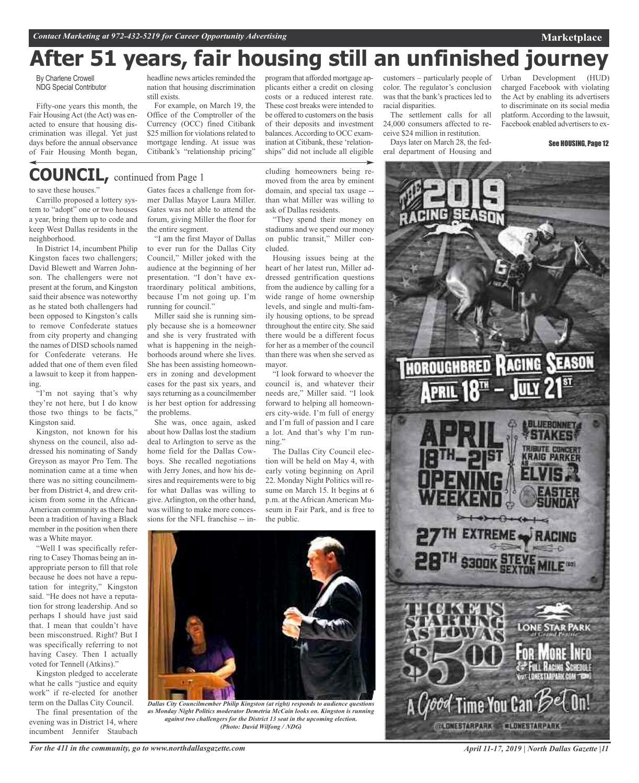# **After 51 years, fair housing still an unfinished journey**

By Charlene Crowell NDG Special Contributor

Fifty-one years this month, the Fair Housing Act (the Act) was enacted to ensure that housing discrimination was illegal. Yet just days before the annual observance of Fair Housing Month began,

headline news articles reminded the nation that housing discrimination still exists.

For example, on March 19, the Office of the Comptroller of the Currency (OCC) fined Citibank \$25 million for violations related to mortgage lending. At issue was Citibank's "relationship pricing"

program that afforded mortgage applicants either a credit on closing costs or a reduced interest rate. These cost breaks were intended to be offered to customers on the basis of their deposits and investment balances. According to OCC examination at Citibank, these 'relationships" did not include all eligible

customers – particularly people of color. The regulator's conclusion was that the bank's practices led to racial disparities. The settlement calls for all

24,000 consumers affected to receive \$24 million in restitution. Days later on March 28, the fed-

eral department of Housing and

Urban Development charged Facebook with violating the Act by enabling its advertisers to discriminate on its social media platform. According to the lawsuit, Facebook enabled advertisers to ex-

**Marketplace**

### **COUNCIL,** continued from Page <sup>1</sup>

to save these houses."

Carrillo proposed a lottery system to "adopt" one or two houses a year, bring them up to code and keep West Dallas residents in the neighborhood.

In District 14, incumbent Philip Kingston faces two challengers; David Blewett and Warren Johnson. The challengers were not present at the forum, and Kingston said their absence was noteworthy as he stated both challengers had been opposed to Kingston's calls to remove Confederate statues from city property and changing the names of DISD schools named for Confederate veterans. He added that one of them even filed a lawsuit to keep it from happening.

"I'm not saying that's why they're not here, but I do know those two things to be facts," Kingston said.

Kingston, not known for his shyness on the council, also addressed his nominating of Sandy Greyson as mayor Pro Tem. The nomination came at a time when there was no sitting councilmember from District 4, and drew criticism from some in the African-American community as there had been a tradition of having a Black member in the position when there was a White mayor.

"Well I was specifically referring to Casey Thomas being an inappropriate person to fill that role because he does not have a reputation for integrity," Kingston said. "He does not have a reputation for strong leadership. And so perhaps I should have just said that. I mean that couldn't have been misconstrued. Right? But I was specifically referring to not having Casey. Then I actually voted for Tennell (Atkins)."

Kingston pledged to accelerate what he calls "justice and equity work" if re-elected for another term on the Dallas City Council.

The final presentation of the evening was in District 14, where incumbent Jennifer Staubach

Gates faces a challenge from former Dallas Mayor Laura Miller. Gates was not able to attend the forum, giving Miller the floor for the entire segment.

"I am the first Mayor of Dallas to ever run for the Dallas City Council," Miller joked with the audience at the beginning of her presentation. "I don't have extraordinary political ambitions, because I'm not going up. I'm running for council."

Miller said she is running simply because she is a homeowner and she is very frustrated with what is happening in the neighborhoods around where she lives. She has been assisting homeowners in zoning and development cases for the past six years, and says returning as a councilmember is her best option for addressing the problems.

She was, once again, asked about how Dallas lost the stadium deal to Arlington to serve as the home field for the Dallas Cowboys. She recalled negotiations with Jerry Jones, and how his desires and requirements were to big for what Dallas was willing to give. Arlington, on the other hand, was willing to make more concessions for the NFL franchise -- in-

cluding homeowners being removed from the area by eminent domain, and special tax usage - than what Miller was willing to ask of Dallas residents.

"They spend their money on stadiums and we spend our money on public transit," Miller concluded.

Housing issues being at the heart of her latest run, Miller addressed gentrification questions from the audience by calling for a wide range of home ownership levels, and single and multi-family housing options, to be spread throughout the entire city. She said there would be a different focus for her as a member of the council than there was when she served as mayor.

"I look forward to whoever the council is, and whatever their needs are," Miller said. "I look forward to helping all homeowners city-wide. I'm full of energy and I'm full of passion and I care a lot. And that's why I'm running."

The Dallas City Council election will be held on May 4, with early voting beginning on April 22. Monday Night Politics will resume on March 15. It begins at 6 p.m. at the African American Museum in Fair Park, and is free to the public.



*Dallas City Councilmember Philip Kingston (at right) responds to audience questions as Monday Night Politics moderator Demetria McCain looks on. Kingston is running against two challengers for the District 13 seat in the upcoming election. (Photo: David Wilfong / NDG)*

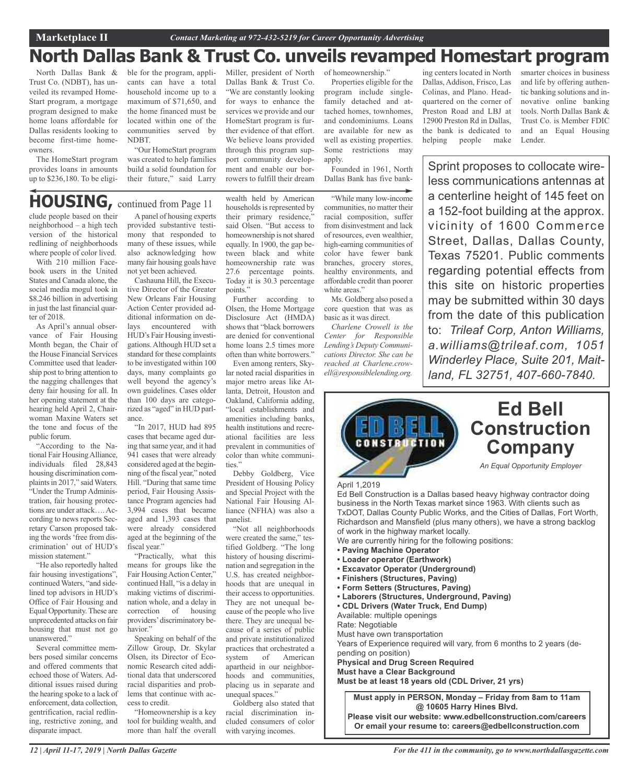Miller, president of North Dallas Bank & Trust Co. "We are constantly looking for ways to enhance the services we provide and our HomeStart program is further evidence of that effort. We believe loans provided through this program support community development and enable our borrowers to fulfill their dream

## **North Dallas Bank & Trust Co. unveils revamped Homestart program**

North Dallas Bank & Trust Co. (NDBT), has unveiled its revamped Home-Start program, a mortgage program designed to make home loans affordable for Dallas residents looking to become first-time homeowners.

The HomeStart program provides loans in amounts up to \$236,180. To be eligible for the program, applicants can have a total household income up to a maximum of \$71,650, and the home financed must be located within one of the communities served by NDBT.

"Our HomeStart program was created to help families build a solid foundation for their future," said Larry

### **HOUSING,** continued from Page <sup>11</sup>

clude people based on their neighborhood – a high tech version of the historical redlining of neighborhoods where people of color lived.

With 210 million Facebook users in the United States and Canada alone, the social media mogul took in \$8.246 billion in advertising in just the last financial quarter of 2018.

As April's annual observance of Fair Housing Month began, the Chair of the House Financial Services Committee used that leadership post to bring attention to the nagging challenges that deny fair housing for all. In her opening statement at the hearing held April 2, Chairwoman Maxine Waters set the tone and focus of the public forum.

"According to the National Fair HousingAlliance, individuals filed 28,843 housing discrimination complaints in 2017," said Waters. "Under the Trump Administration, fair housing protections are under attack….According to news reports Secretary Carson proposed taking the words 'free from discrimination' out of HUD's mission statement."

"He also reportedly halted fair housing investigations", continued Waters, "and sidelined top advisors in HUD's Office of Fair Housing and Equal Opportunity. These are unprecedented attacks on fair housing that must not go unanswered."

Several committee members posed similar concerns and offered comments that echoed those of Waters. Additional issues raised during the hearing spoke to a lack of enforcement, data collection, gentrification, racial redlining, restrictive zoning, and disparate impact.

Apanel of housing experts provided substantive testimony that responded to many of these issues, while also acknowledging how many fair housing goals have not yet been achieved.

Cashauna Hill, the Executive Director of the Greater New Orleans Fair Housing Action Center provided additional information on delays encountered with HUD's Fair Housing investigations.Although HUD set a standard for these complaints to be investigated within 100 days, many complaints go well beyond the agency's own guidelines. Cases older than 100 days are categorized as "aged" in HUD parlance.

"In 2017, HUD had 895 cases that became aged during that same year, and it had 941 cases that were already considered aged at the beginning of the fiscal year," noted Hill. "During that same time period, Fair Housing Assistance Program agencies had 3,994 cases that became aged and 1,393 cases that were already considered aged at the beginning of the fiscal year."

"Practically, what this means for groups like the Fair Housing Action Center," continued Hall, "is a delay in making victims of discrimination whole, and a delay in correction of housing providers'discriminatory behavior."

Speaking on behalf of the Zillow Group, Dr. Skylar Olsen, its Director of Economic Research cited additional data that underscored racial disparities and problems that continue with access to credit.

"Homeownership is a key tool for building wealth, and more than half the overall

wealth held by American households is represented by their primary residence," said Olsen. "But access to homeownership is not shared equally. In 1900, the gap between black and white homeownership rate was 27.6 percentage points. Today it is 30.3 percentage points."

Further according to Olsen, the Home Mortgage Disclosure Act (HMDA) shows that "black borrowers are denied for conventional home loans 2.5 times more often than white borrowers."

Even among renters, Skylar noted racial disparities in major metro areas like Atlanta, Detroit, Houston and Oakland, California adding, "local establishments and amenities including banks, health institutions and recreational facilities are less prevalent in communities of color than white communities."

Debby Goldberg, Vice President of Housing Policy and Special Project with the National Fair Housing Alliance (NFHA) was also a panelist.

"Not all neighborhoods were created the same," testified Goldberg. "The long history of housing discrimination and segregation in the U.S. has created neighborhoods that are unequal in their access to opportunities. They are not unequal because of the people who live there. They are unequal because of a series of public and private institutionalized practices that orchestrated a system of American apartheid in our neighborhoods and communities, placing us in separate and unequal spaces."

Goldberg also stated that racial discrimination included consumers of color with varying incomes.

of homeownership." Properties eligible for the program include singlefamily detached and attached homes, townhomes, and condominiums. Loans are available for new as well as existing properties. Some restrictions may apply.

Founded in 1961, North Dallas Bank has five bank-

"While many low-income communities, no matter their racial composition, suffer from disinvestment and lack of resources, even wealthier, high-earning communities of color have fewer bank branches, grocery stores, healthy environments, and affordable credit than poorer white areas."

Ms. Goldberg also posed a core question that was as basic as it was direct.

*Charlene Crowell is the Center for Responsible Lending's Deputy Communications Director. She can be reached at Charlene.crowell@responsiblelending.org.*

ing centers located in North Dallas, Addison, Frisco, Las Colinas, and Plano. Headquartered on the corner of Preston Road and LBJ at 12900 Preston Rd in Dallas, the bank is dedicated to helping people make smarter choices in business and life by offering authentic banking solutions and innovative online banking tools. North Dallas Bank & Trust Co. is Member FDIC and an Equal Housing Lender.

Sprint proposes to collocate wireless communications antennas at a centerline height of 145 feet on a 152-foot building at the approx. vicinity of 1600 Commerce Street, Dallas, Dallas County, Texas 75201. Public comments regarding potential effects from this site on historic properties may be submitted within 30 days from the date of this publication to: *Trileaf Corp, Anton Williams, a.williams@trileaf.com, 1051 Winderley Place, Suite 201, Maitland, FL 32751, 407-660-7840.*



Ed Bell Construction is a Dallas based heavy highway contractor doing business in the North Texas market since 1963. With clients such as TxDOT, Dallas County Public Works, and the Cities of Dallas, Fort Worth, Richardson and Mansfield (plus many others), we have a strong backlog of work in the highway market locally.

We are currently hiring for the following positions:

- **• Paving Machine Operator**
- **• Loader operator (Earthwork)**
- **• Excavator Operator (Underground)**
- **• Finishers (Structures, Paving)**
- **• Form Setters (Structures, Paving)**
- **• Laborers (Structures, Underground, Paving)**
- **• CDL Drivers (Water Truck, End Dump)**

Available: multiple openings

Rate: Negotiable

Must have own transportation

Years of Experience required will vary, from 6 months to 2 years (depending on position)

**Physical and Drug Screen Required Must have a Clear Background**

**Must be at least 18 years old (CDL Driver, 21 yrs)**

**Must apply in PERSON, Monday – Friday from 8am to 11am @ 10605 Harry Hines Blvd.**

**Please visit our website: www.edbellconstruction.com/careers Or email your resume to: careers@edbellconstruction.com**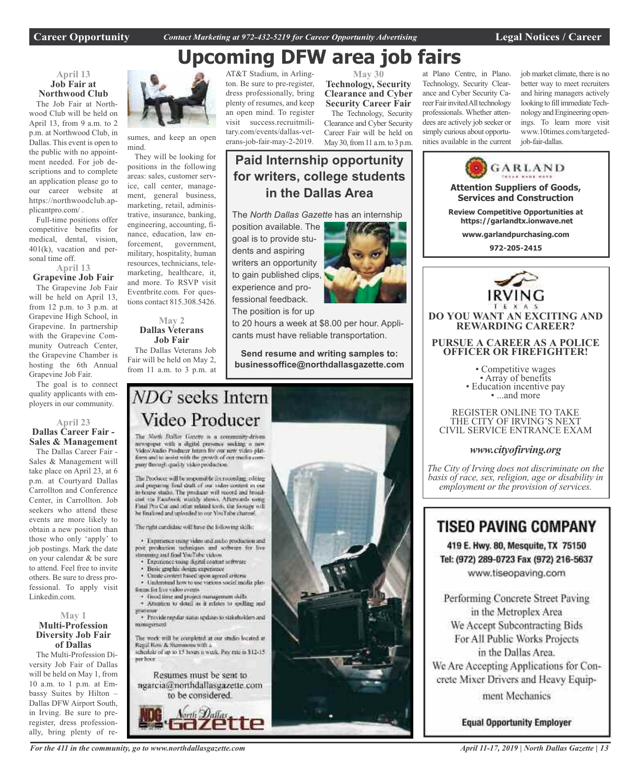# **Upcoming DFW area job fairs**

### **April 13 Job Fair at Northwood Club**

The Job Fair at Northwood Club will be held on April 13, from 9 a.m. to 2 p.m. at Northwood Club, in Dallas. This event is open to the public with no appointment needed. For job descriptions and to complete an application please go to our career website at https://northwoodclub.applicantpro.com/ .

Full-time positions offer competitive benefits for medical, dental, vision, 401(k), vacation and personal time off.

### **April 13**

**Grapevine Job Fair** The Grapevine Job Fair will be held on April 13, from 12 p.m. to 3 p.m. at Grapevine High School, in Grapevine. In partnership with the Grapevine Community Outreach Center, the Grapevine Chamber is hosting the 6th Annual Grapevine Job Fair.

The goal is to connect quality applicants with employers in our community.

### **April 23 Dallas Career Fair - Sales & Management**

The Dallas Career Fair - Sales & Management will take place on April 23, at 6 p.m. at Courtyard Dallas Carrollton and Conference Center, in Carrollton. Job seekers who attend these events are more likely to obtain a new position than those who only 'apply' to job postings. Mark the date on your calendar & be sure to attend. Feel free to invite others. Be sure to dress professional. To apply visit Linkedin.com.

### **May 1 Multi-Profession Diversity Job Fair of Dallas**

The Multi-Profession Diversity Job Fair of Dallas will be held on May 1, from 10 a.m. to 1 p.m. at Embassy Suites by Hilton – Dallas DFW Airport South, in Irving. Be sure to preregister, dress professionally, bring plenty of re-



sumes, and keep an open mind.

They will be looking for positions in the following areas: sales, customer service, call center, management, general business, marketing, retail, administrative, insurance, banking, engineering, accounting, finance, education, law enforcement, government, military, hospitality, human resources, technicians, telemarketing, healthcare, it, and more. To RSVP visit Eventbrite.com. For questions contact 815.308.5426.

#### **May 2 Dallas Veterans Job Fair**

The Dallas Veterans Job Fair will be held on May 2, from 11 a.m. to 3 p.m. at

AT&T Stadium, in Arlington. Be sure to pre-register, dress professionally, bring plenty of resumes, and keep an open mind. To register visit success.recruitmilitary.com/events/dallas-veterans-job-fair-may-2-2019.

**May 30 Technology, Security Clearance and Cyber Security Career Fair** The Technology, Security

at Plano Centre, in Plano. Technology, Security Clearance and Cyber Security Career Fair invited All technology professionals. Whether attendees are actively job seeker or simply curious about opportunities available in the current job market climate, there is no better way to meet recruiters and hiring managers actively looking to fill immediate Technology and Engineering openings. To learn more visit www.10times.com/targetedjob-fair-dallas.



419 E. Hwy. 80, Mesquite, TX 75150 Tel: (972) 289-0723 Fax (972) 216-5637 www.tiseopaving.com

Performing Concrete Street Paving in the Metroplex Area We Accept Subcontracting Bids For All Public Works Projects in the Dallas Area. We Are Accepting Applications for Concrete Mixer Drivers and Heavy Equipment Mechanics

**Equal Opportunity Employer** 

Clearance and Cyber Security Career Fair will be held on May 30, from 11 a.m. to 3 p.m.

### **Paid Internship opportunity for writers, college students in the Dallas Area**

The *North Dallas Gazette* has an internship

position available. The goal is to provide students and aspiring writers an opportunity to gain published clips, experience and professional feedback. The position is for up

to 20 hours a week at \$8.00 per hour. Appli-

**Send resume and writing samples to: businessoffice@northdallasgazette.com**

### NDG seeks Intern Video Producer

The North Dallas Gazette is a community-driven newspaper with a digital presence socking a new Video Audio Producer Intam for our new video plat-<br>form and to assist with the growth of our media company through quality video production

The Producer will be responsible for recording, editing and preparing final draft of our video content in our in-house stadio. The producer will record and broad-cast via Facebook witchly shows. Afterwards using Final Pro Cut and other related tools, the footage will he finalized and uploaded to our YouTube channel

The right cardidate will have the following skills:

· Experience using video and and/o production and post production techniques and software for live streaming and final YouTube Videos.

- Experience mang digital content settware
- Basic graphic design experience
- Create circuret haved upon agreed criteria Understand how to use various social media plat-
- timms for live video events
- · Good time and project management skills<br>· Attention to detail as it relates to spelling and
- · Provide regular status updates to stakeholders and miniarument

The work will be completed at our studio located at Regal Row & Stemmons with a schedule of up to 15 hours a week. Pay rate is \$12-15.

Resumes must be sent to ngarcia@northdallasgazette.com to be considered.



*For the 411 in the community, go to www.northdallasgazette.com*

ner hoor.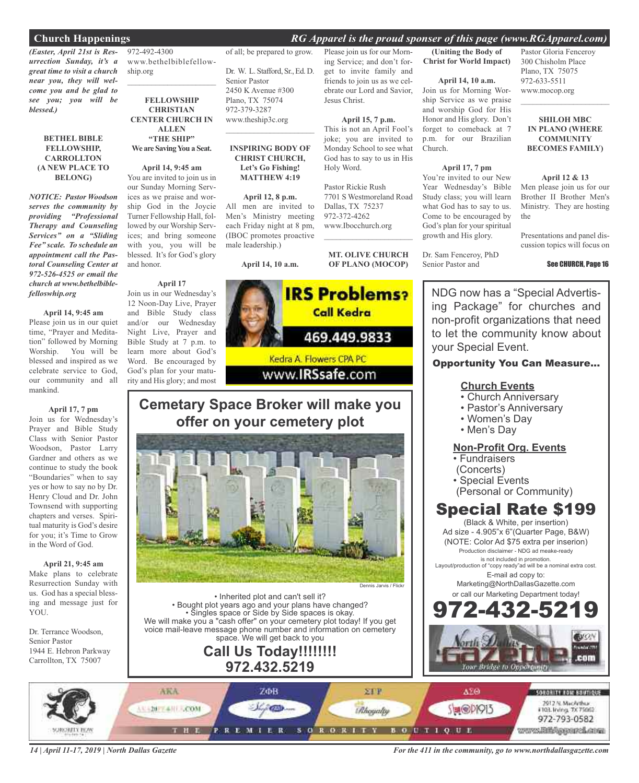### **Church Happenings** *RG Apparel is the proud sponser of this page (www.RGApparel.com)*

*(Easter, April 21st is Resurrection Sunday, it's a great time to visit a church near you, they will welcome you and be glad to see you; you will be blessed.)*

#### **BETHEL BIBLE FELLOWSHIP, CARROLLTON (A NEW PLACE TO BELONG)**

*NOTICE: Pastor Woodson serves the community by providing "Professional Therapy and Counseling Services" on a "Sliding Fee" scale. To schedule an appointment call the Pastoral Counseling Center at 972-526-4525 or email the church at www.bethelbiblefelloswhip.org*

#### **April 14, 9:45 am**

Please join us in our quiet time, "Prayer and Meditation" followed by Morning Worship. You will be blessed and inspired as we celebrate service to God, our community and all mankind.

**April 17, 7 pm**

Join us for Wednesday's Prayer and Bible Study Class with Senior Pastor Woodson, Pastor Larry Gardner and others as we continue to study the book "Boundaries" when to say yes or how to say no by Dr. Henry Cloud and Dr. John Townsend with supporting chapters and verses. Spiritual maturity is God's desire for you; it's Time to Grow in the Word of God.

### **April 21, 9:45 am**

Make plans to celebrate Resurrection Sunday with us. God has a special blessing and message just for YOU.

Dr. Terrance Woodson, Senior Pastor 1944 E. Hebron Parkway Carrollton, TX 75007

972-492-4300 www.bethelbiblefellowship.org

 $\mathcal{L}_\text{max}$  and  $\mathcal{L}_\text{max}$  and  $\mathcal{L}_\text{max}$ 

**FELLOWSHIP CHRISTIAN CENTER CHURCH IN ALLEN "THE SHIP"**

### **We are SavingYou a Seat.**

**April 14, 9:45 am** You are invited to join us in

our Sunday Morning Services as we praise and worship God in the Joycie Turner Fellowship Hall, followed by our Worship Services; and bring someone with you, you will be blessed. It's for God's glory and honor.

### **April 17**

Join us in our Wednesday's 12 Noon-Day Live, Prayer and Bible Study class and/or our Wednesday Night Live, Prayer and Bible Study at 7 p.m. to learn more about God's Word. Be encouraged by God's plan for your maturity and His glory; and most

### of all; be prepared to grow.

Dr. W. L. Stafford, Sr., Ed. D. Senior Pastor 2450 K Avenue #300 Plano, TX 75074 972-379-3287 www.theship3c.org  $\mathcal{L}=\mathcal{L}^{\mathcal{L}}$  , where  $\mathcal{L}^{\mathcal{L}}$  , we have the set of the set of the set of the set of the set of the set of the set of the set of the set of the set of the set of the set of the set of the set of the set of

#### **INSPIRING BODY OF CHRIST CHURCH, Let's Go Fishing! MATTHEW 4:19**

**April 12, 8 p.m.** All men are invited to Men's Ministry meeting each Friday night at 8 pm, (IBOC promotes proactive male leadership.)

**April 14, 10 a.m.**



### **Cemetary Space Broker will make you offer on your cemetery plot**



• Inherited plot and can't sell it? • Bought plot years ago and your plans have changed? • Singles space or Side by Side spaces is okay. We will make you a "cash offer" on your cemetery plot today! If you get voice mail-leave message phone number and information on cemetery space. We will get back to you

### **Call Us Today!!!!!!!! 972.432.5219**

Please join us for our Morning Service; and don't forget to invite family and **(Uniting the Body of Christ for World Impact)**

friends to join us as we celebrate our Lord and Savior,

**April 15, 7 p.m.** This is not an April Fool's joke; you are invited to Monday School to see what God has to say to us in His

7701 S Westmoreland Road

**MT. OLIVE CHURCH OF PLANO (MOCOP)**

Jesus Christ.

Holy Word.

Pastor Rickie Rush

Dallas, TX 75237 972-372-4262 www.Ibocchurch.org  $\mathcal{L}=\mathcal{L}^{\mathcal{L}}$  , where  $\mathcal{L}^{\mathcal{L}}$  , we have the set of the set of the set of the set of the set of the set of the set of the set of the set of the set of the set of the set of the set of the set of the set of

#### **April 14, 10 a.m.**

Join us for Morning Worship Service as we praise and worship God for His Honor and His glory. Don't forget to comeback at 7 p.m. for our Brazilian Church.

#### **April 17, 7 pm**

You're invited to our New Year Wednesday's Bible Study class; you will learn what God has to say to us. Come to be encouraged by God's plan for your spiritual growth and His glory.

Dr. Sam Fenceroy, PhD Senior Pastor and

Pastor Gloria Fenceroy 300 Chisholm Place Plano, TX 75075 972-633-5511 www.mocop.org

**SHILOH MBC IN PLANO (WHERE COMMUNITY BECOMES FAMILY)**

 $\mathcal{L}=\mathcal{L}^{\mathcal{L}}$  , where  $\mathcal{L}^{\mathcal{L}}$  , we have the set of the set of the set of the set of the set of the set of the set of the set of the set of the set of the set of the set of the set of the set of the set of

#### **April 12 & 13**

Men please join us for our Brother II Brother Men's Ministry. They are hosting the

Presentations and panel discussion topics will focus on

#### See CHURCH, Page 16

NDG now has a "Special Advertising Package" for churches and non-profit organizations that need to let the community know about your Special Event.

### Opportunity You Can Measure...

### **Church Events**

- Church Anniversary
- Pastor's Anniversary
- Women's Day
- Men's Day

### **Non-Profit Org. Events**

- Fundraisers
- (Concerts)
- Special Events
- (Personal or Community)

### Special Rate \$199

(Black & White, per insertion) Ad size - 4.905"x 6"(Quarter Page, B&W) (NOTE: Color Ad \$75 extra per inserion) Production disclaimer - NDG ad meake-ready is not included in promotion.

Layout/production of "copy ready"ad will be a nominal extra cost. E-mail ad copy to:

> Marketing@NorthDallasGazette.com or call our Marketing Department today!



*14 | April 11-17, 2019 | North Dallas Gazette*

*For the 411 in the community, go to www.northdallasgazette.com*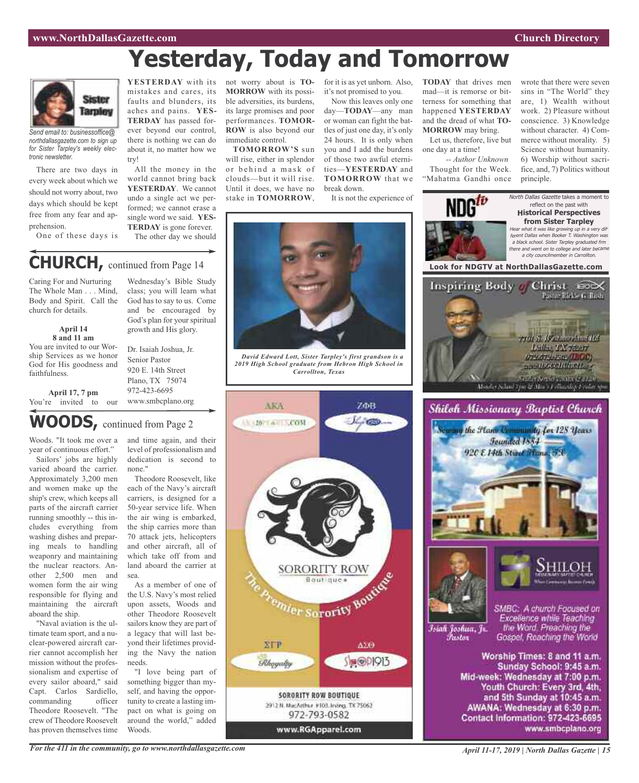# **Yesterday, Today and Tomorrow**



*Send email to: businessoffice@ northdallasgazette.com to sign up for Sister Tarpley's weekly electronic newsletter.*

There are two days in every week about which we should not worry about, two days which should be kept free from any fear and apprehension.

One of these days is

Caring For and Nurturing The Whole Man . . . Mind, Body and Spirit. Call the

> **April 14 8 and 11 am**

church for details.

faithfulness.

**YESTERDAY** with its not worry about is **TO-** for it is as yet unborn. Also, **TODAY** that drives men mistakes and cares, its faults and blunders, its aches and pains. **YES-TERDAY** has passed forever beyond our control, there is nothing we can do about it, no matter how we try!

All the money in the world cannot bring back **YESTERDAY**. We cannot undo a single act we performed; we cannot erase a single word we said. **YES-TERDAY** is gone forever. The other day we should

Wednesday's Bible Study class; you will learn what God has to say to us. Come and be encouraged by God's plan for your spiritual growth and His glory.

**MORROW** with its possible adversities, its burdens, its large promises and poor performances. **TOMOR-ROW** is also beyond our immediate control.

**TOMORROW'S** sun will rise, either in splendor or behind a mask of clouds—but it will rise. Until it does, we have no stake in **TOMORROW**,

it's not promised to you.

Now this leaves only one day—**TODAY**—any man or woman can fight the battles of just one day, it's only 24 hours. It is only when you and I add the burdens of those two awful eternities—**YESTERDAY** and **TOMORROW** that we break down.

It is not the experience of

mad—it is remorse or bitterness for something that happened **YESTERDAY** and the dread of what **TO-MORROW** may bring.

Let us, therefore, live but one day at a time!

*-- Author Unknown* Thought for the Week. "Mahatma Gandhi once

wrote that there were seven sins in "The World" they are, 1) Wealth without work. 2) Pleasure without conscience. 3) Knowledge without character. 4) Commerce without morality. 5) Science without humanity. 6) Worship without sacrifice, and, 7) Politics without



You are invited to our Worship Services as we honor God for His goodness and You're invited to our Dr. Isaiah Joshua, Jr. Senior Pastor 920 E. 14th Street Plano, TX 75074 972-423-6695 www.smbcplano.org

### **WOODS,** continued from Page <sup>2</sup>

Woods. "It took me over a year of continuous effort." Sailors' jobs are highly

**April 17, 7 pm**

varied aboard the carrier. Approximately 3,200 men and women make up the ship's crew, which keeps all parts of the aircraft carrier running smoothly -- this includes everything from washing dishes and preparing meals to handling weaponry and maintaining the nuclear reactors. Another 2,500 men and women form the air wing responsible for flying and maintaining the aircraft aboard the ship.

"Naval aviation is the ultimate team sport, and a nuclear-powered aircraft carrier cannot accomplish her mission without the professionalism and expertise of every sailor aboard," said Capt. Carlos Sardiello, commanding officer Theodore Roosevelt. "The crew of Theodore Roosevelt has proven themselves time and time again, and their level of professionalism and dedication is second to none."

Theodore Roosevelt, like each of the Navy's aircraft carriers, is designed for a 50-year service life. When the air wing is embarked, the ship carries more than 70 attack jets, helicopters and other aircraft, all of which take off from and land aboard the carrier at sea.

As a member of one of the U.S. Navy's most relied upon assets, Woods and other Theodore Roosevelt sailors know they are part of a legacy that will last beyond their lifetimes providing the Navy the nation needs.

"I love being part of something bigger than myself, and having the opportunity to create a lasting impact on what is going on around the world," added Woods.



*David Edward Lott, Sister Tarpley's first grandson is a 2019 High School graduate from Hebron High School in Carrollton, Texas*



*April 11-17, 2019 | North Dallas Gazette | 15*